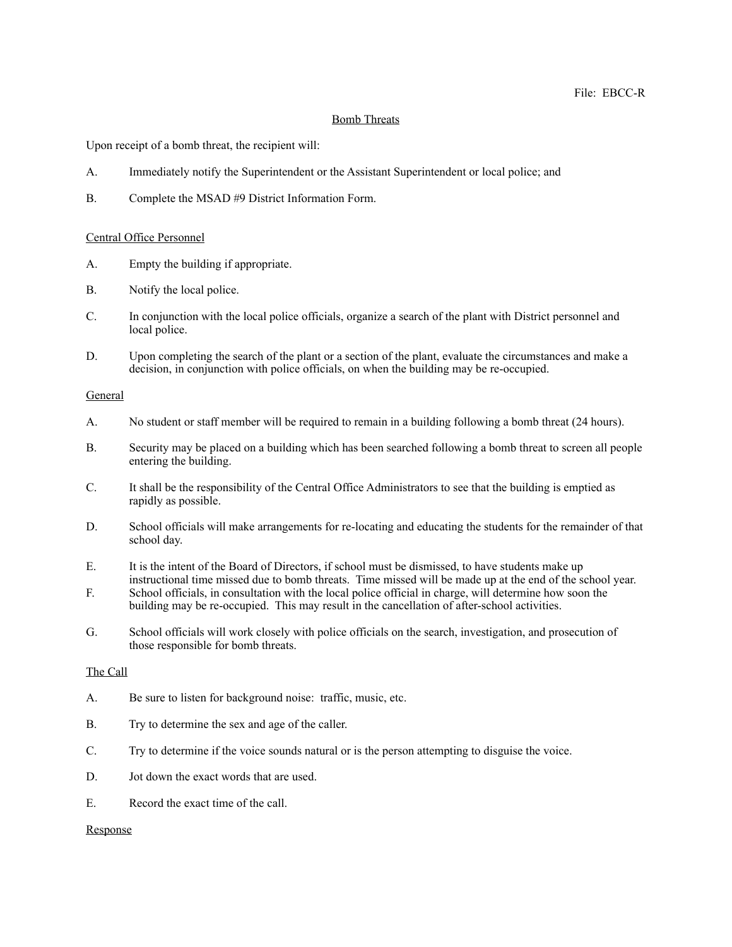## Bomb Threats

Upon receipt of a bomb threat, the recipient will:

- A. Immediately notify the Superintendent or the Assistant Superintendent or local police; and
- B. Complete the MSAD #9 District Information Form.

#### Central Office Personnel

- A. Empty the building if appropriate.
- B. Notify the local police.
- C. In conjunction with the local police officials, organize a search of the plant with District personnel and local police.
- D. Upon completing the search of the plant or a section of the plant, evaluate the circumstances and make a decision, in conjunction with police officials, on when the building may be re-occupied.

## General

- A. No student or staff member will be required to remain in a building following a bomb threat (24 hours).
- B. Security may be placed on a building which has been searched following a bomb threat to screen all people entering the building.
- C. It shall be the responsibility of the Central Office Administrators to see that the building is emptied as rapidly as possible.
- D. School officials will make arrangements for re-locating and educating the students for the remainder of that school day.
- E. It is the intent of the Board of Directors, if school must be dismissed, to have students make up instructional time missed due to bomb threats. Time missed will be made up at the end of the school year.
- F. School officials, in consultation with the local police official in charge, will determine how soon the building may be re-occupied. This may result in the cancellation of after-school activities.
- G. School officials will work closely with police officials on the search, investigation, and prosecution of those responsible for bomb threats.

### The Call

- A. Be sure to listen for background noise: traffic, music, etc.
- B. Try to determine the sex and age of the caller.
- C. Try to determine if the voice sounds natural or is the person attempting to disguise the voice.
- D. Jot down the exact words that are used.
- E. Record the exact time of the call.

#### Response